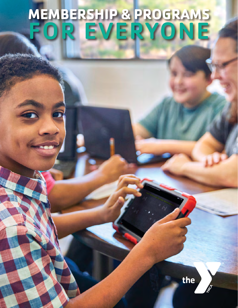# **MEMBERSHIP & PROGRAMS** FOR EVERYONE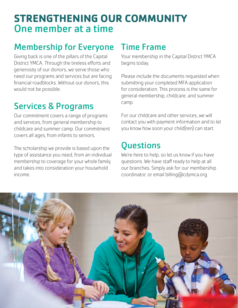# **STRENGTHENING OUR COMMUNITY** One member at a time

## Membership for Everyone

Giving back is one of the pillars of the Capital District YMCA. Through the tireless efforts and generosity of our donors, we serve those who need our programs and services but are facing financial roadblocks. Without our donors, this would not be possible.

# Services & Programs

Our commitment covers a range of programs and services, from general membership to childcare and summer camp. Our commitment covers all ages, from infants to seniors.

The scholarship we provide is based upon the type of assistance you need, from an individual membership to coverage for your whole family, and takes into consideration your household income.

### Time Frame

Your membership in the Capital District YMCA begins today.

Please include the documents requested when submitting your completed MFA application for consideration. This process is the same for general membership, childcare, and summer camp.

For our childcare and other services, we will contact you with payment information and to let you know how soon your child(ren) can start.

# **Questions**

We're here to help, so let us know if you have questions. We have staff ready to help at all our branches. Simply ask for our membership coordinator, or email billing@cdymca.org.

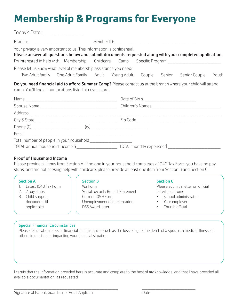# **Membership & Programs for Everyone**

| Today's Date: _____________________                                     |                                                                                                               |
|-------------------------------------------------------------------------|---------------------------------------------------------------------------------------------------------------|
|                                                                         |                                                                                                               |
| Your privacy is very important to us. This information is confidential. | Please answer all questions below and submit documents requested along with your completed application.       |
|                                                                         | I'm interested in help with: Membership Childcare Camp Specific Program: __________________________           |
| Please let us know what level of membership assistance you need:        |                                                                                                               |
|                                                                         | Two Adult family One Adult Family Adult Young Adult Couple Senior Senior Couple<br>Youth                      |
| camp. You'll find all our locations listed at cdymca.org.               | Do you need financial aid to afford Summer Camp? Please contact us at the branch where your child will attend |
|                                                                         |                                                                                                               |
|                                                                         |                                                                                                               |
|                                                                         |                                                                                                               |
|                                                                         |                                                                                                               |
|                                                                         |                                                                                                               |
|                                                                         |                                                                                                               |
| Total number of people in your household _________________________      |                                                                                                               |
|                                                                         |                                                                                                               |

#### Proof of Household Income

Please provide all items from Section A. If no one in your household completes a 1040 Tax Form, you have no pay stubs, and are not seeking help with childcare, please provide at least one item from Section B and Section C.

#### Section A

- 1. Latest 1040 Tax Form
- 2. 2 pay stubs
- 3. Child support documents (if applicable)

#### Section B

W2 Form Social Security Benefit Statement Current 1099 Form Unemployment documentation DSS Award letter

#### Section C

Please submit a letter on official letterhead from:

- School administrator
- Your employer
- Church official

#### Special Financial Circumstances

Please tell us about special financial circumstances such as the loss of a job, the death of a spouce, a medical illness, or other circumstances impacting your financial situation.

I certify that the information provided here is accurate and complete to the best of my knowledge, and that I have provided all available documentation, as requested.

\_\_\_\_\_\_\_\_\_\_\_\_\_\_\_\_\_\_\_\_\_\_\_\_\_\_\_\_\_\_\_\_\_\_\_\_\_\_\_\_\_\_\_\_\_\_\_\_\_\_\_\_\_\_\_\_\_\_\_\_\_\_\_\_\_\_\_\_\_\_\_\_\_\_\_\_\_\_ \_\_\_\_\_\_\_\_\_\_\_\_\_\_\_\_\_\_\_\_\_\_\_\_\_\_\_\_\_\_\_\_\_\_\_\_\_\_\_\_